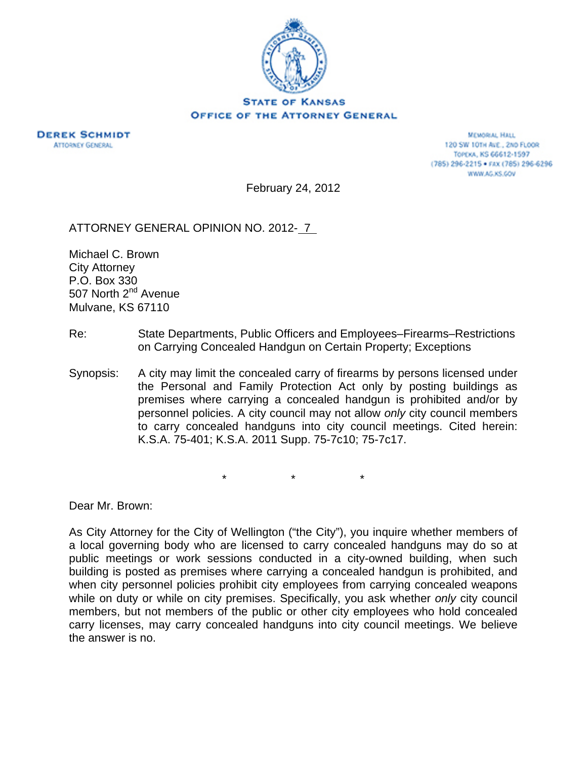

## **OFFICE OF THE ATTORNEY GENERAL**

**DEREK SCHMIDT ATTORNEY GENERAL** 

**MEMORAL HALL** 120 SW 10TH AVE., 2ND FLOOR TOPEKA, KS 66612-1597 (785) 296-2215 · FAX (785) 296-6296 WWW.AG.KS.GOV

February 24, 2012

ATTORNEY GENERAL OPINION NO. 2012- 7

Michael C. Brown City Attorney P.O. Box 330 507 North 2<sup>nd</sup> Avenue Mulvane, KS 67110

- Re: State Departments, Public Officers and Employees–Firearms–Restrictions on Carrying Concealed Handgun on Certain Property; Exceptions
- Synopsis: A city may limit the concealed carry of firearms by persons licensed under the Personal and Family Protection Act only by posting buildings as premises where carrying a concealed handgun is prohibited and/or by personnel policies. A city council may not allow *only* city council members to carry concealed handguns into city council meetings. Cited herein: K.S.A. 75-401; K.S.A. 2011 Supp. 75-7c10; 75-7c17.

\* \* \*

Dear Mr. Brown:

As City Attorney for the City of Wellington ("the City"), you inquire whether members of a local governing body who are licensed to carry concealed handguns may do so at public meetings or work sessions conducted in a city-owned building, when such building is posted as premises where carrying a concealed handgun is prohibited, and when city personnel policies prohibit city employees from carrying concealed weapons while on duty or while on city premises. Specifically, you ask whether *only* city council members, but not members of the public or other city employees who hold concealed carry licenses, may carry concealed handguns into city council meetings. We believe the answer is no.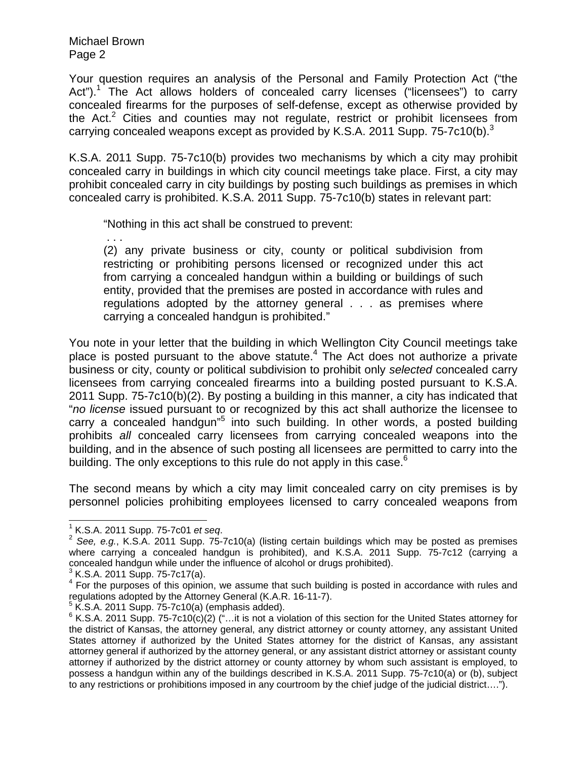Michael Brown Page 2

Your question requires an analysis of the Personal and Family Protection Act ("the Act").<sup>1</sup> The Act allows holders of concealed carry licenses ("licensees") to carry concealed firearms for the purposes of self-defense, except as otherwise provided by the Act.<sup>2</sup> Cities and counties may not regulate, restrict or prohibit licensees from carrying concealed weapons except as provided by K.S.A. 2011 Supp. 75-7c10(b).<sup>3</sup>

K.S.A. 2011 Supp. 75-7c10(b) provides two mechanisms by which a city may prohibit concealed carry in buildings in which city council meetings take place. First, a city may prohibit concealed carry in city buildings by posting such buildings as premises in which concealed carry is prohibited. K.S.A. 2011 Supp. 75-7c10(b) states in relevant part:

"Nothing in this act shall be construed to prevent:

. . .

(2) any private business or city, county or political subdivision from restricting or prohibiting persons licensed or recognized under this act from carrying a concealed handgun within a building or buildings of such entity, provided that the premises are posted in accordance with rules and regulations adopted by the attorney general . . . as premises where carrying a concealed handgun is prohibited."

You note in your letter that the building in which Wellington City Council meetings take place is posted pursuant to the above statute.<sup>4</sup> The Act does not authorize a private business or city, county or political subdivision to prohibit only *selected* concealed carry licensees from carrying concealed firearms into a building posted pursuant to K.S.A. 2011 Supp. 75-7c10(b)(2). By posting a building in this manner, a city has indicated that "*no license* issued pursuant to or recognized by this act shall authorize the licensee to carry a concealed handgun"<sup>5</sup> into such building. In other words, a posted building prohibits *all* concealed carry licensees from carrying concealed weapons into the building, and in the absence of such posting all licensees are permitted to carry into the building. The only exceptions to this rule do not apply in this case.<sup>6</sup>

The second means by which a city may limit concealed carry on city premises is by personnel policies prohibiting employees licensed to carry concealed weapons from

 $\overline{\phantom{a}}$ 

 $1$  K.S.A. 2011 Supp. 75-7c01 et seq.

<sup>&</sup>lt;sup>2</sup> See, e.g., K.S.A. 2011 Supp. 75-7c10(a) (listing certain buildings which may be posted as premises where carrying a concealed handgun is prohibited), and K.S.A. 2011 Supp. 75-7c12 (carrying a concealed handgun while under the influence of alcohol or drugs prohibited).

 $3$  K.S.A. 2011 Supp. 75-7c17(a).

<sup>&</sup>lt;sup>4</sup> For the purposes of this opinion, we assume that such building is posted in accordance with rules and regulations adopted by the Attorney General (K.A.R. 16-11-7).

 $5$  K.S.A. 2011 Supp. 75-7c10(a) (emphasis added).

 $6$  K.S.A. 2011 Supp. 75-7c10(c)(2) ("...it is not a violation of this section for the United States attorney for the district of Kansas, the attorney general, any district attorney or county attorney, any assistant United States attorney if authorized by the United States attorney for the district of Kansas, any assistant attorney general if authorized by the attorney general, or any assistant district attorney or assistant county attorney if authorized by the district attorney or county attorney by whom such assistant is employed, to possess a handgun within any of the buildings described in K.S.A. 2011 Supp. 75-7c10(a) or (b), subject to any restrictions or prohibitions imposed in any courtroom by the chief judge of the judicial district….").